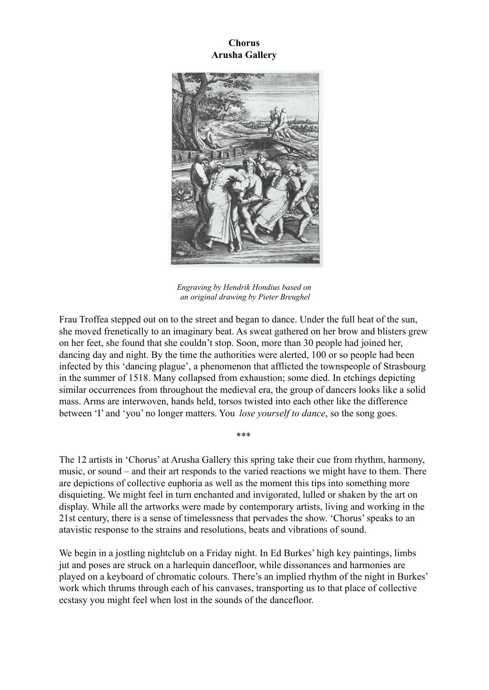**Chorus Arusha Gallery**



*Engraving by Hendrik Hondius based on an original drawing by Pieter Breughel*

Frau Troffea stepped out on to the street and began to dance. Under the full heat of the sun, she moved frenetically to an imaginary beat. As sweat gathered on her brow and blisters grew on her feet, she found that she couldn't stop. Soon, more than 30 people had joined her, dancing day and night. By the time the authorities were alerted, 100 or so people had been infected by this 'dancing plague', a phenomenon that afflicted the townspeople of Strasbourg in the summer of 1518. Many collapsed from exhaustion; some died. In etchings depicting similar occurrences from throughout the medieval era, the group of dancers looks like a solid mass. Arms are interwoven, hands held, torsos twisted into each other like the difference between 'I' and 'you' no longer matters. You *lose yourself to dance*, so the song goes.

The 12 artists in 'Chorus' at Arusha Gallery this spring take their cue from rhythm, harmony, music, or sound – and their art responds to the varied reactions we might have to them. There are depictions of collective euphoria as well as the moment this tips into something more disquieting. We might feel in turn enchanted and invigorated, lulled or shaken by the art on display. While all the artworks were made by contemporary artists, living and working in the 21st century, there is a sense of timelessness that pervades the show. 'Chorus' speaks to an atavistic response to the strains and resolutions, beats and vibrations of sound.

\*\*\*

We begin in a jostling nightclub on a Friday night. In Ed Burkes' high key paintings, limbs jut and poses are struck on a harlequin dancefloor, while dissonances and harmonies are played on a keyboard of chromatic colours. There's an implied rhythm of the night in Burkes' work which thrums through each of his canvases, transporting us to that place of collective ecstasy you might feel when lost in the sounds of the dancefloor.